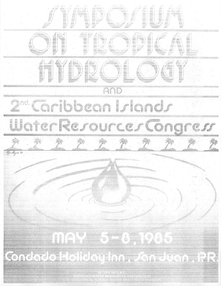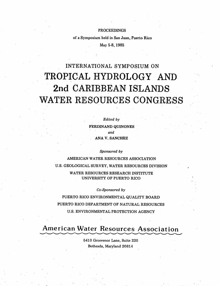#### PROCEEDINGS

of a Symposium held in San Juan, Puerto Rico

May 5-8,1985

# *INTERNATIONAL SYMPOSIUM ON* TROPICAL HYDROLOGY AND 2nd CARIBBEAN ISLANDS WATER RESOURCES CONGRESS

**Edited by** FERDINAND QUINONES **and** ANA V. SANCHEZ

**Sponsored by**

AMERICAN WATER RESOURCES ASSOCIATION U.S. GEOLOGICAL SURVEY, WATER RESOURCES DIVISION WATER RESOURCES RESEARCH INSTITUTE UNIVERSITY OF PUERTO RICO

**Co-Sponsored by**

PUERTO RICO ENVIRONMENTAL QUALITY BOARD PUERTO RICO DEPARTMENT OF NATURAL RESOURCES U.S. ENVIRONMENTAL PROTECTION AGENCY

# American Water Resources Association

5410 Grosvenor Lane, Suite 220 Bethesda, Maryland 20814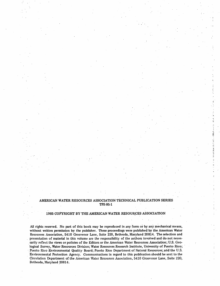#### AMERICAN WATER RESOURCES ASSOCIATION TECHNICAL PUBLICATION SERIES TPS-85-1

ia<br>M à

 $\frac{1}{2}$ 

计计算 计算法算

#### 1985 COPYRIGHT BY THE AMERICAN WATER RESOURCES ASSOCIATION

All rights reserved. No part of this book may be reproduced in any form or by any mechanical means, without written permission by the publisher. These proceedings were published by the American Water Resources Association, 5410 Grosvenor Lane, Suite 220, Bethesda, Maryland 20814. The selection and presentation of material in this volume are the responsibility of the authors involved and do not neces sarily reflect the views or policies of the Editors or the American Water Resources Association; U.S. Geo logical Survey, Water Resources Division; Water Resources Research Institute, University of Puerto Rico; Puerto Rico Environmental Quality Board; Puerto Rico Department of Natural Resources; and the U.S. Environmental Protection Agency. Communications in regard to this publication should be sent to the Circulation Department of the American Water Resources Association, 5410 Grosvenor Lane, Suite 220, Bethesda, Maryland 20814.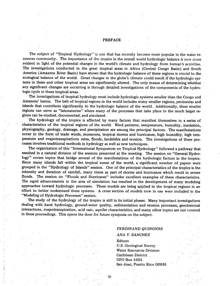#### PREFACE

The subject of "Tropical Hydrology" is one that has recently become more popular in the water re sources community. The importance of the tropics in the overall world hydrologic balance is now more evident in light of the potential changes in the world's climate arid hydrology from human's activities. The investigations conducted in the great tropical areas in Africa (Central Congo Basin) and South America (Amazons River Basin) have shown that the hydrologic balance of these regions is crucial to the ecological balance of the world. Great changes in the globe's climate could result if the hydrologic sys tems in these and other tropical areas are significantly altered. The only means of determining whether any significant changes are occurring is through detailed investigations of the components of the hydrologic cycle in these tropical areas.

The investigations of tropical hydrology must include hydrologic systems smaller than the Congo and Amazons' basins. The belt of tropical regions in the world includes many smaller regions, peninsulas and islands that contribute significantly to the hydrologic balance of the world. Additionally, these smaller regions can serve as "laboratories" where many of the processes that take place in the much larger re gions can be studied, documented, and simulated.

The hydrology of the tropics is affected by many factors that manifest themselves in a series of characteristics of the tropical regions of the world. Wind patterns, temperature, humidity, insolation, physiography, geology, drainage, and precipitation are among the principal factors. The manifestations occur in the form of trade winds, monsoons, tropical storms and hurricanes, high humidity, high tem perature and evapotranspirations rates, floods, landslides and erosion. The investigations of these pro cesses involves traditional methods in hydrology as well as new techniques.

The organization of this "International Symposium on Tropical Hydrology" followed a pathway that resulted in a natural division of the sessions presented at the meeting. The session on "General Hydro logy" covers topics that bridge several of the manifestations of the hydrologic factors in the tropics. Since many islands fall within the tropical zones of the world, a significant number of papers were grouped in the "Hydrology of Islands" session. One of the principal characteristics of the tropics is the intensity and duration of rainfall, many times as part of storms and hurricanes which result in severe floods. The session on "Floods and Hurricanes" includes excellent examples of these characteristics. The rapid advancements in the area of simulation has resulted in the development of many modeling approaches toward hydrologic processes. These models are being applied in the tropical regions in an effort to better understand these systems. A cross section of models now in use were included in the "Modeling of Hydrologic Processes" session.

The study of the hydrology of the tropics is still in its initial phases. Many important investigations dealing with karst hydrology, ground-water quality, sedimentation and erosion processes, geochemical interactions, evapotranspiration, acid rain, aquifer characteristics, and many other topics are not covered in these proceedings. This opens the door for future symposia on the subject.

> **FERDINAND QUINONES ANA V. SANCHEZ** Editors U.S. Geological Survey Water Resources Division Caribbean District GPO Box 4424 San Juan, Puerto Rico 00936

*in*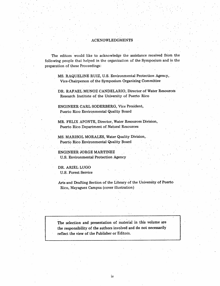#### ACKNOWLEDGMENTS

The editors would like to acknowledge the assistance received from the following people that helped in the organization of the Symposium and in the preparation of these Proceedings:

MS. RAQUELINE RUIZ, U.S. Environmental Protection Agency, Vice-Chairperson of the Symposium Organizing Committee

DR. RAFAEL MUNOZ CANDELARIO, Director of Water Resources Research Institute of the University of Puerto Rico

ENGINEER CARL SODERBERG, Vice President, Puerto Rico Environmental Quality Board

MR. FELIX APONTE, Director, Water Resources Division, Puerto Rico Department of Natural Resources

MS. MARISOL MORALES, Water Quality Division, Puerto Rico Environmental Quality Board

ENGINEER JORGE MARTINEZ U.S. Environmental Protection Agency

DR. ARIEL LUGO U.S. Forest Service

Arts and Drafting Section of the Library of the University of Puerto Rico, Mayaguez Campus (cover illustration)

The selection and presentation of material in this volume are the responsibility of the authors involved and do not necessarily reflect the view of the Publisher or Editors.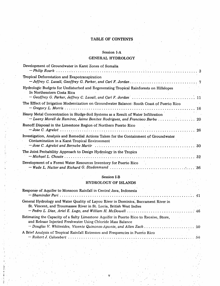## *TABLE OF CONTENTS*

## Session *I-A* GENERAL *HYDROLOGY*

| Development of Groundwater in Karst Zones of Somalia                                                                                                              |  |
|-------------------------------------------------------------------------------------------------------------------------------------------------------------------|--|
| Tropical Deforestation and Evapotranspiration                                                                                                                     |  |
| Hydrologic Budgets for Undisturbed and Regenerating Tropical Rainforests on Hillslopes<br>In Northeastern Costa Rica                                              |  |
| The Effect of Irrigation Modernization on Groundwater Balance: South Coast of Puerto Rico                                                                         |  |
| Heavy Metal Concentration in Sludge-Soil Systems as a Result of Water Infiltration<br>- Lueny Morell de Ramirez, Jaime Benitez Rodriguez, and Francisco Barba  20 |  |
| Runoff Disposal in the Limestone Region of Northern Puerto Rico                                                                                                   |  |
| Investigation, Analysis and Remedial Actions Taken for the Containment of Groundwater<br>Contamination in a Karst Tropical Environment                            |  |
| The Joint Probability Approach to Design Hydrology in the Tropics                                                                                                 |  |
| Development of a Forest Water Resources Inventory for Puerto Rico                                                                                                 |  |

### Session I-B

#### HYDROLOGY OF ISLANDS

 $\ddot{\phantom{a}}$ 

| Response of Aquifer to Monsoon Rainfall in Central Java, Indonesia                                                                                                                                                            |  |
|-------------------------------------------------------------------------------------------------------------------------------------------------------------------------------------------------------------------------------|--|
| General Hydrology and Water Quality of Layou River in Dominica, Buccament River in<br>St. Vincent, and Troumassee River in St. Lucia, British West Indies                                                                     |  |
| Estimating the Capacity of a Salty Limestone Aquifer in Puerto Rico to Receive, Store,<br>and Release Injected Freshwater Using Chloride Mass Balance<br>- Douglas V. Whitesides, Vicente Quinones-Aponte, and Allen Zack  50 |  |
| A Brief Analysis of Tropical Rainfall Extremes and Frequencies in Puerto Rico                                                                                                                                                 |  |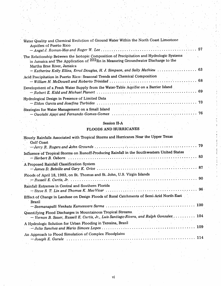| Water Quality and Chemical Evolution of Ground Water Within the North Coast Limestone<br>Aquifers of Puerto Rico                                                                                                                                                                              |    |
|-----------------------------------------------------------------------------------------------------------------------------------------------------------------------------------------------------------------------------------------------------------------------------------------------|----|
| The Relationship Between the Isotopic Composition of Precipitation and Hydrologic Systems<br>in Jamaica and The Application of 222Rn in Measuring Groundwater Discharge to the<br>Martha Brae River, Jamaica<br>- Katherine Kelly Ellins, Errol Douglas, H. J. Simpson, and Sally Mathieu  63 |    |
| Acid Precipitation in Puerto Rico: Seasonal Trends and Chemical Composition                                                                                                                                                                                                                   |    |
| Development of a Fresh Water Supply from the Water-Table Aquifer on a Barrier Island                                                                                                                                                                                                          |    |
| Hydrological Design in Presence of Limited Data                                                                                                                                                                                                                                               |    |
| Strategies for Water Management on a Small Island                                                                                                                                                                                                                                             | 76 |

## Session II-A

 $\sim$   $\sim$ 

## FLOODS AND HURRICANES

| Hourly Rainfalls Associated with Tropical Storms and Hurricanes Near the Upper Texas                                                                       |
|------------------------------------------------------------------------------------------------------------------------------------------------------------|
| Gulf Coast                                                                                                                                                 |
| Influence of Tropical Storms on Runoff-Producing Rainfall in the Southwestern United States                                                                |
| A Proposed Rainfall Classification System                                                                                                                  |
| Floods of April 18, 1983, on St. Thomas and St. John, U.S. Virgin Islands                                                                                  |
| Rainfall Extremes in Central and Southern Florida                                                                                                          |
| Effect of Change in Landuse on Design Floods of Rural Catchments of Semi-Arid North-East<br><b>Brazil</b>                                                  |
| Quantifying Flood Discharges in Mountainous Tropical Streams.<br>$-$ Vernon B. Sauer, Russell E. Curtis, Jr., Luis Santiago-Rivera, and Ralph Gonzalez 104 |
| A Hydrologic Solution for Urban Flooding in Teresina, Brazil                                                                                               |
| An Approach to Flood Simulation of Complex Floodplains                                                                                                     |